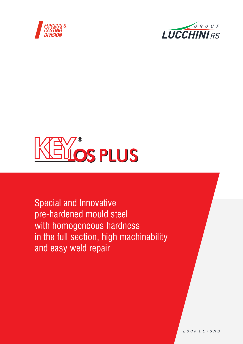





Special and Innovative pre-hardened mould steel with homogeneous hardness in the full section, high machinability and easy weld repair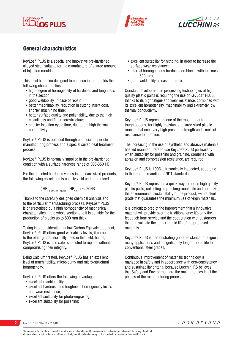





# General characteristics

KeyLos® PLUS is a special and innovative pre-hardened alloyed steel, suitable for the manufacture of a large amount of injection moulds.

This steel has been designed to enhance in the moulds the following characteristics:

- high degree of homogeneity of hardness and toughness in the section;
- good weldability, in case of repair;
- better machinability, reduction in cutting insert cost, shorter machining time;
- better surface quality and polishability, due to the high cleanliness and fine microstructure;
- shorter injection cycle time, due to the high thermal conductivity.

KeyLos® PLUS is obtained through a special 'super clean' manufacturing process and a special suited heat treatment process.

KeyLos® PLUS is normally supplied in the pre-hardened condition with a surface hardness range of 300-350 HB.

For the detected hardness values in standard sized products, the following correlation is usually valid and guaranteed:

$$
(\text{HB}_{\text{Surface,min required}} - \text{HB}_{\text{Core}})
$$
  $\leq$  20HB

Thanks to the carefully designed chemical analysis and to the particular manufacturing process, KeyLos® PLUS is characterised by a high homogeneity of mechanical characteristics in the whole section and it is suitable for the production of blocks up to 800 mm thick.

Taking into consideration its low Carbon Equivalent content, KeyLos® PLUS offers good weldability levels, if compared to the other grades normally used in this field; hence, KeyLos® PLUS is also safer subjected to repairs without compromising their integrity.

Being Calcium treated, KeyLos® PLUS has an excellent level of machinability, micro-purity and micro-structural homogeneity.

KeyLos® PLUS offers the following advantages:

- excellent machinability;
- excellent hardness and toughness homogeneity levels and wear resistance;
- excellent suitability for photo-engraving;
- excellent suitability for polishing;
- excellent suitability for nitriding, in order to increase the surface wear resistance;
- internal homogeneous hardness on blocks with thickness up to 800 mm;
- good weldability, in case of repair.

Constant development in processing technologies of high quality plastic parts is requiring the use of KeyLos® PLUS, thanks to its high fatigue and wear resistance, combined with its excellent homogeneity, machinability and extremely low thermal conductivity.

KeyLos® PLUS represents one of the most important tough options, for highly resistant and large sized plastic moulds that need very high pressure strength and excellent resistance to abrasion.

The increasing in the use of synthetic and abrasive materials has led manufacturers to use KeyLos® PLUS particularly when suitability for polishing and graining, combined with abrasion and compression resistance, are required.

KeyLos® PLUS is 100% ultrasonically inspected, according to the most demanding of NDT standards.

KeyLos® PLUS represents a quick way to obtain high quality plastic parts, collecting a quite long mould life and optimizing the environmental sustainability of the product, with a steel grade that guarantees the minimum use of virgin materials.

It is difficult to predict the improvement that a innovative material will provide over the traditional one: it's only the feedback from service and the cooperation with customers that can validate the longer mould life of the proposed materials.

KeyLos® PLUS is demonstrating good resistance to fatigue in many applications and a significantly longer mould life than conventional steel grades.

Continuous improvement of materials technology is managed in safety and in accordance with eco-consistency and sustainability criteria, because Lucchini RS believes that Safety and Environment are the main priorities in all the phases of the manufacturing process.

**2** KeyLos® PLUS / Rev.00 / 05.2019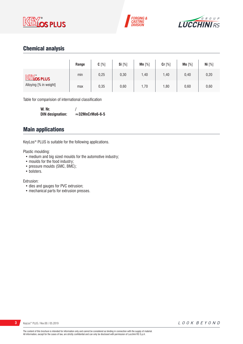





# Chemical analysis

|                               | Range | $C[\%]$ | Si [%] | Mn [%] | Cr [%] | Mo [%] | Ni $[%]$ |
|-------------------------------|-------|---------|--------|--------|--------|--------|----------|
| <b>KEY</b> <sub>os</sub> PLUS | min   | 0,25    | 0,30   | 1,40   | 1,40   | 0,40   | 0,20     |
| Alloying [% in weight]        | max   | 0,35    | 0,60   | 1,70   | 1,80   | 0,60   | 0,60     |

Table for comparision of international classification

**W. Nr.** /<br>DIN designation:  $\approx$  $\approx$ 32MnCrMo6-6-5

### Main applications

KeyLos® PLUS is suitable for the following applications.

Plastic moulding:

- medium and big sized moulds for the automotive industry;
- moulds for the food industry;
- pressure moulds (SMC, BMC);
- bolsters.

Extrusion:

- dies and gauges for PVC extrusion;
- mechanical parts for extrusion presses.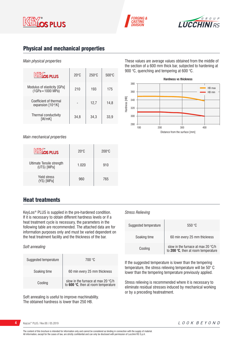





# Physical and mechanical properties

### *Main physical properties*

| <b>KEYOS PLUS</b>                                  | $20^{\circ}$ C | $250^\circ C$ | $500^{\circ}$ C |
|----------------------------------------------------|----------------|---------------|-----------------|
| Modulus of elasticity [GPa]<br>$(1GPa = 1000 MPa)$ | 210            | 193           | 175             |
| Coefficient of thermal<br>expansion $[10-6/K]$     |                | 12,7          | 14,8            |
| Thermal conductivity<br>[W/mK]                     | 34,8           | 34,3          | 33,9            |

*Main mechanical properties*

| <u><b>Elíos plus</b></u>                 | $20^{\circ}$ C | $200^{\circ}$ C |
|------------------------------------------|----------------|-----------------|
| Ultimate Tensile strength<br>(UTS) [MPa] | 1.020          | 910             |
| <b>Yield stress</b><br>(YS) [MPa]        | 960            | 765             |

Heat treatments

KeyLos® PLUS is supplied in the pre-hardened condition. If it is necessary to obtain different hardness levels or if a heat treatment cycle is necessary, the parameters in the following table are recommended. The attached data are for information purposes only and must be varied dependent on the heat treatment facility and the thickness of the bar.

### *Soft annealing*

| Suggested temperature | 700 °C                                                                    |
|-----------------------|---------------------------------------------------------------------------|
| Soaking time          | 60 min every 25 mm thickness                                              |
| Cooling               | slow in the furnace at max 20 °C/h<br>to 600 °C, then at room temperature |

Soft annealing is useful to improve machinability. The obtained hardness is lower than 250 HB.

These values are average values obtained from the middle of the section of a 600 mm thick bar, subjected to hardening at 900 °C, quenching and tempering at 600 °C.



### *Stress Relieving*

| Suggested temperature | 550 °C                                                                    |
|-----------------------|---------------------------------------------------------------------------|
| Soaking time          | 60 min every 25 mm thickness                                              |
| Cooling               | slow in the furnace at max 20 °C/h<br>to 200 °C, then at room temperature |

If the suggested temperature is lower than the tempering temperature, the stress relieving temperature will be 50° C lower than the tempering temperature previously applied.

Stress relieving is recommended where it is necessary to eliminate residual stresses induced by mechanical working or by a preceding heatreatment.

**4** KeyLos® PLUS / Rev.00 / 05.2019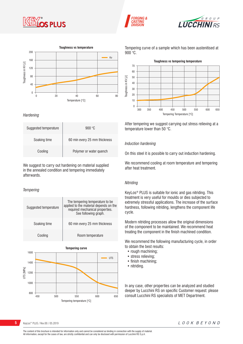







#### *Hardening*

| Suggested temperature | 900 $\degree$ C              |
|-----------------------|------------------------------|
| Soaking time          | 60 min every 25 mm thickness |
| Cooling               | Polymer or water quench      |

We suggest to carry out hardening on material supplied in the annealed condition and tempering immediately afterwards.

### *Tempering*

| Suggested temperature | The tempering temperature to be<br>applied to the material depends on the<br>required mechanical properties.<br>See following graph. |  |
|-----------------------|--------------------------------------------------------------------------------------------------------------------------------------|--|
| Soaking time          | 60 min every 25 mm thickness                                                                                                         |  |
| Cooling               | Room temperature                                                                                                                     |  |

Tempering temperature [°C] **Tempering curve** UTS [MPa] 800 1000 1200 1400 1600 450 500 550 600 650 UTS

Tempering curve of a sample which has been austenitised at  $900^{\circ}$ C.



After tempering we suggest carrying out stress relieving at a temperature lower than 50 °C.

#### *Induction hardening*

On this steel it is possible to carry out induction hardening.

We recommend cooling at room temperature and tempering after heat treatment.

### *Nitriding*

KeyLos® PLUS is suitable for ionic and gas nitriding. This treatment is very useful for moulds or dies subjected to extremely stressful applications. The increase of the surface hardness, following nitriding, lengthens the component life cycle.

Modern nitriding processes allow the original dimensions of the component to be maintained. We recommend heat treating the component in the finish machined condition.

We recommend the following manufacturing cycle, in order to obtain the best results:

- rough machining;
- stress relieving;
- finish machining;
- nitriding.

In any case, other properties can be analyzed and studied deeper by Lucchini RS on specific Customer request: please consult Lucchini RS specialists of MET Department.

**5** KeyLos<sup>®</sup> PLUS / Rev.00 / 05.2019

The content of this brochure is intended for information only and cannot be considered as binding in connection with the supply of material. All information, except for the cases of law, are strictly confidential and can only be disclosed with permission of Lucchini RS S.p.A.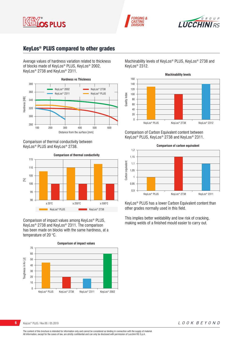





# KeyLos® PLUS compared to other grades

Average values of hardness variation related to thickness of blocks made of KeyLos® PLUS, KeyLos® 2002, KeyLos<sup>®</sup> 2738 and KeyLos<sup>®</sup> 2311.



Comparison of thermal conductivity between KeyLos<sup>®</sup> PLUS and KeyLos<sup>®</sup> 2738.



Comparison of impact values among KeyLos® PLUS, KeyLos® 2738 and KeyLos® 2311. The comparison has been made on blocks with the same hardness, at a temperature of 20 $\degree$ C.

**Comparison of impact values** 70 60 Toughness in Kv [J] 50 Toughness in Kv [J] 40 30  $20$ 10 0 KeyLos® PLUS KeyLos® 2738 KeyLos® 2311 KeyLos® 2002 Machinability levels of KeyLos® PLUS, KeyLos® 2738 and KeyLos<sup>®</sup> 2312.



Comparison of Carbon Equivalent content between KeyLos® PLUS, KeyLos® 2738 and KeyLos® 2311.



KeyLos® PLUS has a lower Carbon Equivalent content than other grades normally used in this field.

This implies better weldability and low risk of cracking, making welds of a finished mould easier to carry out.

#### **6** KeyLos<sup>®</sup> PLUS / Rev.00 / 05.2019

LOOK BEYOND

The content of this brochure is intended for information only and cannot be considered as binding in connection with the supply of material. All information, except for the cases of law, are strictly confidential and can only be disclosed with permission of Lucchini RS S.p.A.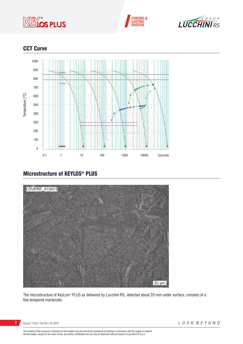





# **CCT Curve**



# Microstructure of KEYLOS® PLUS



The microstructure of KeyLos® PLUS as delivered by Lucchini RS, detected about 20 mm under surface, consists of a fine tempered martensite.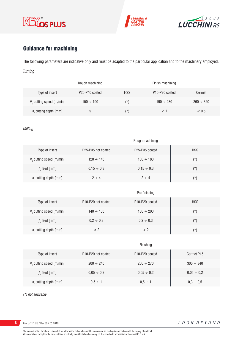





# Guidance for machining

The following parameters are indicative only and must be adapted to the particular application and to the machinery employed. *Turning*

|                         | Rough machining |            | Finish machining                        |                |
|-------------------------|-----------------|------------|-----------------------------------------|----------------|
| Type of insert          | P20-P40 coated  | <b>HSS</b> | P <sub>10</sub> -P <sub>20</sub> coated | Cermet         |
| V cutting speed [m/min] | $150 \div 190$  | (*`        | $190 \div 230$                          | $260 \div 320$ |
| a, cutting depth [mm]   |                 | (*`        |                                         | < 0.5          |

### *Milling*

|                             | Rough machining    |                                         |            |  |
|-----------------------------|--------------------|-----------------------------------------|------------|--|
| Type of insert              | P25-P35 not coated | P <sub>25</sub> -P <sub>35</sub> coated | <b>HSS</b> |  |
| $V_c$ cutting speed [m/min] | $120 \div 140$     | $160 \div 180$                          | $(\star)$  |  |
| $fz$ feed [mm]              | $0,15 \div 0,3$    | $0,15 \div 0,3$                         | $(\star)$  |  |
| $ar$ cutting depth [mm]     | $2 \div 4$         | $2 \div 4$                              | $(\star)$  |  |

|                         | Pre-finishing                               |                                         |            |  |
|-------------------------|---------------------------------------------|-----------------------------------------|------------|--|
| Type of insert          | P <sub>10</sub> -P <sub>20</sub> not coated | P <sub>10</sub> -P <sub>20</sub> coated | <b>HSS</b> |  |
| V cutting speed [m/min] | $140 \div 160$                              | $180 \div 200$                          | (*)        |  |
| $f$ , feed [mm]         | $0,2 \div 0,3$                              | $0,2 \div 0,3$                          | $(\star)$  |  |
| a, cutting depth [mm]   | < ?                                         | < 2                                     | $(\star)$  |  |

|                                      | Finishing                                   |                                         |                 |
|--------------------------------------|---------------------------------------------|-----------------------------------------|-----------------|
| Type of insert                       | P <sub>10</sub> -P <sub>20</sub> not coated | P <sub>10</sub> -P <sub>20</sub> coated | Cermet P15      |
| V <sub>c</sub> cutting speed [m/min] | $200 \div 240$                              | $250 \div 270$                          | $300 \div 340$  |
| $f$ , feed [mm]                      | $0,05 \div 0,2$                             | $0,05 \div 0,2$                         | $0,05 \div 0,2$ |
| a, cutting depth [mm]                | $0.5 \div 1$                                | $0.5 \div 1$                            | $0,3 \div 0,5$  |

*(\*) not advisable*

**8** KeyLos® PLUS / Rev.00 / 05.2019

Ï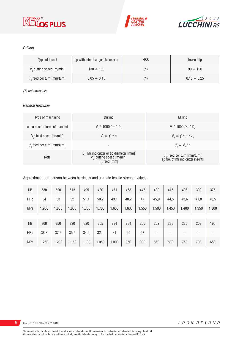





### *Drilling*

| Type of insert               | tip with interchangeable inserts | <b>HSS</b> | brazed tip       |
|------------------------------|----------------------------------|------------|------------------|
| V cutting speed [m/min]      | $130 \div 160$                   | (*)        | $90 \div 120$    |
| $fz$ feed per turn [mm/turn] | $0.05 \div 0.15$                 | $(\star)$  | $0.15 \div 0.25$ |

### *(\*) not advisable*

### *General formulae*

| Type of machining             | Drilling                                                                                                          | Milling                                                                             |
|-------------------------------|-------------------------------------------------------------------------------------------------------------------|-------------------------------------------------------------------------------------|
| n: number of turns of mandrel | $V_r * 1000 / \pi * D_r$                                                                                          | $V_r * 1000 / \pi * D_r$                                                            |
| $V_f$ : feed speed [m/min]    | $V_{f} = f_{7}$ * n                                                                                               | $V_{f} = f_{i} * n * z_{n}$                                                         |
| $fz$ feed per turn [mm/turn]  | $\overline{\phantom{a}}$                                                                                          | $f_{n} = V_{f} / n$                                                                 |
| <b>Note</b>                   | D <sub>r</sub> : Milling cutter or tip diameter [mm]<br>V <sub>c</sub> : cutting speed [m/min]<br>$f$ ; feed [mm] | $f_{n}$ : feed per turn [mm/turn]<br>z <sub>n</sub> : No. of milling cutter inserts |

### Approximate comparison between hardness and ultimate tensile strength values.

| HB         | 530   | 520   | 512   | 495   | 480   | 471   | 458   | 445   | 430   | 415   | 405   | 390   | 375   |
|------------|-------|-------|-------|-------|-------|-------|-------|-------|-------|-------|-------|-------|-------|
| <b>HRc</b> | 54    | 53    | 52    | 51,1  | 50,2  | 49,1  | 48,2  | 47    | 45,9  | 44,5  | 43,6  | 41,8  | 40,5  |
| <b>MPa</b> | 1.900 | 1.850 | 1.800 | 1.750 | 1.700 | 1.650 | 1.600 | 1.550 | 1.500 | 1.450 | 1.400 | 1.350 | 1.300 |
|            |       |       |       |       |       |       |       |       |       |       |       |       |       |
| HB         | 360   | 350   | 330   | 320   | 305   | 294   | 284   | 265   | 252   | 238   | 225   | 209   | 195   |
| <b>HRc</b> | 38,8  | 37,6  | 35,5  | 34,2  | 32,4  | 31    | 29    | 27    | --    | --    | --    | --    | --    |
| <b>MPa</b> | 1.250 | 1.200 | 1.150 | 1.100 | 1.050 | 1.000 | 950   | 900   | 850   | 800   | 750   | 700   | 650   |